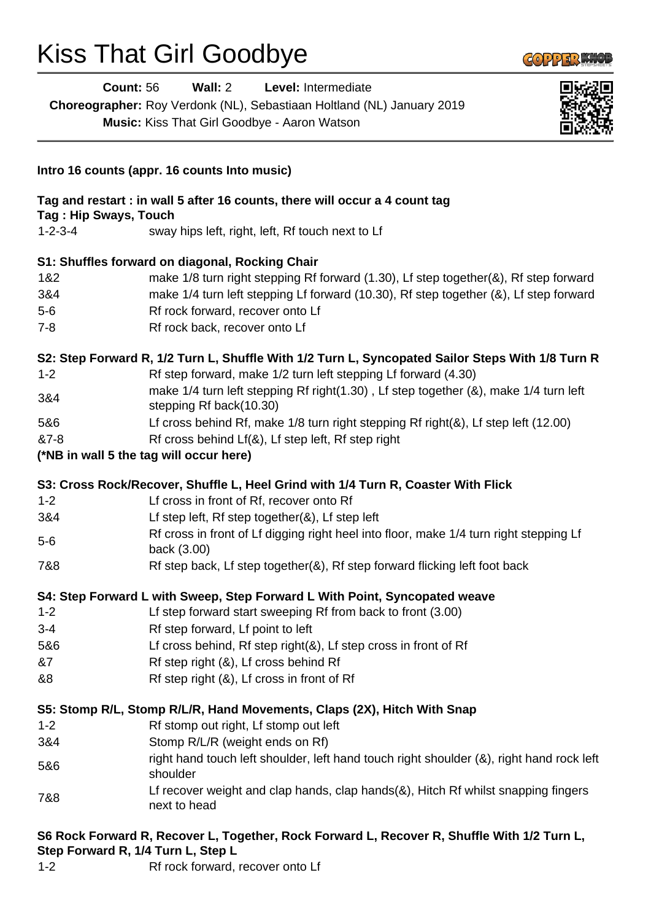# Kiss That Girl Goodbye

| <b>Count: 56</b>      | Wall: $2$<br>Level: Intermediate<br>Choreographer: Roy Verdonk (NL), Sebastiaan Holtland (NL) January 2019<br>Music: Kiss That Girl Goodbye - Aaron Watson |  |
|-----------------------|------------------------------------------------------------------------------------------------------------------------------------------------------------|--|
|                       | Intro 16 counts (appr. 16 counts Into music)                                                                                                               |  |
| Tag: Hip Sways, Touch | Tag and restart : in wall 5 after 16 counts, there will occur a 4 count tag                                                                                |  |
| $1 - 2 - 3 - 4$       | sway hips left, right, left, Rf touch next to Lf                                                                                                           |  |
|                       | S1: Shuffles forward on diagonal, Rocking Chair                                                                                                            |  |
| 1&2                   | make 1/8 turn right stepping Rf forward (1.30), Lf step together(&), Rf step forward                                                                       |  |
| 3&4                   | make 1/4 turn left stepping Lf forward (10.30), Rf step together (&), Lf step forward                                                                      |  |
| $5-6$                 | Rf rock forward, recover onto Lf                                                                                                                           |  |
| $7 - 8$               | Rf rock back, recover onto Lf                                                                                                                              |  |
|                       | S2: Step Forward R, 1/2 Turn L, Shuffle With 1/2 Turn L, Syncopated Sailor Steps With 1/8 Turn R                                                           |  |
| $1 - 2$               | Rf step forward, make 1/2 turn left stepping Lf forward (4.30)                                                                                             |  |
| 3&4                   | make 1/4 turn left stepping Rf right(1.30), Lf step together (&), make 1/4 turn left<br>stepping Rf back(10.30)                                            |  |
| 5&6                   | Lf cross behind Rf, make 1/8 turn right stepping Rf right(&), Lf step left (12.00)                                                                         |  |
| &7-8                  | Rf cross behind Lf(&), Lf step left, Rf step right                                                                                                         |  |
|                       | (*NB in wall 5 the tag will occur here)                                                                                                                    |  |
|                       | S3: Cross Rock/Recover, Shuffle L, Heel Grind with 1/4 Turn R, Coaster With Flick                                                                          |  |
| $1 - 2$               | Lf cross in front of Rf, recover onto Rf                                                                                                                   |  |
| 3&4                   | Lf step left, Rf step together(&), Lf step left                                                                                                            |  |
| $5-6$                 | Rf cross in front of Lf digging right heel into floor, make 1/4 turn right stepping Lf<br>back (3.00)                                                      |  |
| 7&8                   | Rf step back, Lf step together(&), Rf step forward flicking left foot back                                                                                 |  |
|                       | S4: Step Forward L with Sweep, Step Forward L With Point, Syncopated weave                                                                                 |  |
| $1 - 2$               | Lf step forward start sweeping Rf from back to front (3.00)                                                                                                |  |
| $3 - 4$               | Rf step forward, Lf point to left                                                                                                                          |  |
| 5&6                   | Lf cross behind, Rf step right(&), Lf step cross in front of Rf                                                                                            |  |
| &7                    | Rf step right (&), Lf cross behind Rf                                                                                                                      |  |
| &8                    | Rf step right (&), Lf cross in front of Rf                                                                                                                 |  |
|                       | S5: Stomp R/L, Stomp R/L/R, Hand Movements, Claps (2X), Hitch With Snap                                                                                    |  |
| $1 - 2$               | Rf stomp out right, Lf stomp out left                                                                                                                      |  |
| 3&4                   | Stomp R/L/R (weight ends on Rf)                                                                                                                            |  |
| 5&6                   | right hand touch left shoulder, left hand touch right shoulder (&), right hand rock left<br>shoulder                                                       |  |
| 7&8                   | Lf recover weight and clap hands, clap hands(&), Hitch Rf whilst snapping fingers<br>next to head                                                          |  |
|                       | S6 Rock Forward R, Recover L, Together, Rock Forward L, Recover R, Shuffle With 1/2 Turn L,                                                                |  |

**COPPER MICE** 

#### **Step Forward R, 1/4 Turn L, Step L**

1-2 Rf rock forward, recover onto Lf